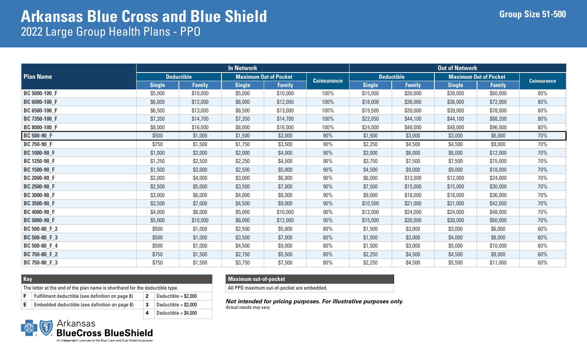|                     |                   |               | <b>In Network</b> |                              |                    | <b>Out of Network</b> |                   |                              |               |                    |
|---------------------|-------------------|---------------|-------------------|------------------------------|--------------------|-----------------------|-------------------|------------------------------|---------------|--------------------|
| <b>Plan Name</b>    | <b>Deductible</b> |               |                   | <b>Maximum Out of Pocket</b> |                    |                       | <b>Deductible</b> | <b>Maximum Out of Pocket</b> |               | <b>Coinsurance</b> |
|                     | <b>Single</b>     | <b>Family</b> | <b>Single</b>     | <b>Family</b>                | <b>Coinsurance</b> | <b>Single</b>         | <b>Family</b>     | <b>Single</b>                | <b>Family</b> |                    |
| BC 5000-100 F       | \$5,000           | \$10,000      | \$5,000           | \$10,000                     | 100%               | \$15,000              | \$30,000          | \$30,000                     | \$60,000      | 80%                |
| BC 6000-100_F       | \$6,000           | \$12,000      | \$6,000           | \$12,000                     | 100%               | \$18,000              | \$36,000          | \$36,000                     | \$72,000      | 80%                |
| BC 6500-100_F       | \$6,500           | \$13,000      | \$6,500           | \$13,000                     | 100%               | \$19,500              | \$39,000          | \$39,000                     | \$78,000      | 80%                |
| BC 7350-100_F       | \$7,350           | \$14,700      | \$7,350           | \$14,700                     | 100%               | \$22,050              | \$44,100          | \$44,100                     | \$88,200      | 80%                |
| BC 8000-100 F       | \$8,000           | \$16,000      | \$8,000           | \$16,000                     | 100%               | \$24,000              | \$48,000          | \$48,000                     | \$96,000      | 80%                |
| <b>BC</b> 500-90_F  | \$500             | \$1,000       | \$1,500           | \$3,000                      | 90%                | \$1,500               | \$3,000           | \$3,000                      | \$6,000       | 70%                |
| <b>BC 750-90_F</b>  | \$750             | \$1,500       | \$1,750           | \$3,500                      | 90%                | \$2,250               | \$4,500           | \$4,500                      | \$9,000       | 70%                |
| BC 1000-90_F        | \$1,000           | \$2,000       | \$2,000           | \$4,000                      | 90%                | \$3,000               | \$6,000           | \$6,000                      | \$12,000      | 70%                |
| BC 1250-90_F        | \$1,250           | \$2,500       | \$2,250           | \$4,500                      | 90%                | \$3,750               | \$7,500           | \$7,500                      | \$15,000      | 70%                |
| <b>BC 1500-90_F</b> | \$1,500           | \$3,000       | \$2,500           | \$5,000                      | 90%                | \$4,500               | \$9,000           | \$9,000                      | \$18,000      | 70%                |
| BC 2000-90_F        | \$2,000           | \$4,000       | \$3,000           | \$6,000                      | 90%                | \$6,000               | \$12,000          | \$12,000                     | \$24,000      | 70%                |
| <b>BC 2500-90_F</b> | \$2,500           | \$5,000       | \$3,500           | \$7,000                      | 90%                | \$7,500               | \$15,000          | \$15,000                     | \$30,000      | 70%                |
| BC 3000-90_F        | \$3,000           | \$6,000       | \$4,000           | \$8,000                      | 90%                | \$9,000               | \$18,000          | \$18,000                     | \$36,000      | 70%                |
| <b>BC 3500-90_F</b> | \$3,500           | \$7,000       | \$4,500           | \$9,000                      | 90%                | \$10,500              | \$21,000          | \$21,000                     | \$42,000      | 70%                |
| <b>BC 4000-90_F</b> | \$4,000           | \$8,000       | \$5,000           | \$10,000                     | 90%                | \$12,000              | \$24,000          | \$24,000                     | \$48,000      | 70%                |
| <b>BC 5000-90_F</b> | \$5,000           | \$10,000      | \$6,000           | \$12,000                     | 90%                | \$15,000              | \$30,000          | \$30,000                     | \$60,000      | 70%                |
| BC 500-80_F_2       | \$500             | \$1,000       | \$2,500           | \$5,000                      | 80%                | \$1,500               | \$3,000           | \$3,000                      | \$6,000       | $60\%$             |
| BC 500-80_F_3       | \$500             | \$1,000       | \$3,500           | \$7,000                      | $80\%$             | \$1,500               | \$3,000           | \$4,000                      | \$8,000       | 60%                |
| BC 500-80_F_4       | \$500             | \$1,000       | \$4,500           | \$9,000                      | 80%                | \$1,500               | \$3,000           | \$5,000                      | \$10,000      | 60%                |
| BC 750-80_F_2       | \$750             | \$1,500       | \$2,750           | \$5,500                      | 80%                | \$2,250               | \$4,500           | \$4,500                      | \$9,000       | 60%                |
| BC 750-80_F_3       | \$750             | \$1,500       | \$3,750           | \$7,500                      | 80%                | \$2,250               | \$4,500           | \$5,500                      | \$11,000      | 60%                |

| <b>Key</b>                                                                   |                                                   |  |                        |  |  |  |  |  |  |
|------------------------------------------------------------------------------|---------------------------------------------------|--|------------------------|--|--|--|--|--|--|
| The letter at the end of the plan name is shorthand for the deductible type. |                                                   |  |                        |  |  |  |  |  |  |
|                                                                              | Fulfillment deductible (see definition on page 8) |  | Deductible $+$ \$2,000 |  |  |  |  |  |  |
| Е                                                                            | Embedded deductible (see definition on page 8)    |  | Deductible $+$ \$3,000 |  |  |  |  |  |  |

**4** Deductible + \$4,000

#### **Maximum out-of-pocket**

All PPO maximum out-of-pocket are embedded.

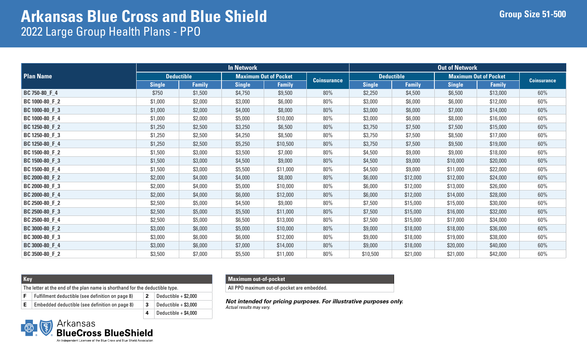|                  |                   |               | <b>In Network</b> |                              |                    |                   |               | <b>Out of Network</b>        |               |                    |
|------------------|-------------------|---------------|-------------------|------------------------------|--------------------|-------------------|---------------|------------------------------|---------------|--------------------|
| <b>Plan Name</b> | <b>Deductible</b> |               |                   | <b>Maximum Out of Pocket</b> |                    | <b>Deductible</b> |               | <b>Maximum Out of Pocket</b> |               | <b>Coinsurance</b> |
|                  | <b>Single</b>     | <b>Family</b> | <b>Single</b>     | <b>Family</b>                | <b>Coinsurance</b> | <b>Single</b>     | <b>Family</b> | <b>Single</b>                | <b>Family</b> |                    |
| BC 750-80_F_4    | \$750             | \$1,500       | \$4,750           | \$9,500                      | 80%                | \$2,250           | \$4,500       | \$6,500                      | \$13,000      | 60%                |
| BC 1000-80_F_2   | \$1,000           | \$2,000       | \$3,000           | \$6,000                      | 80%                | \$3,000           | \$6,000       | \$6,000                      | \$12,000      | 60%                |
| BC 1000-80_F_3   | \$1,000           | \$2,000       | \$4,000           | \$8,000                      | 80%                | \$3,000           | \$6,000       | \$7,000                      | \$14,000      | 60%                |
| BC 1000-80_F_4   | \$1,000           | \$2,000       | \$5,000           | \$10,000                     | 80%                | \$3,000           | \$6,000       | \$8,000                      | \$16,000      | 60%                |
| BC 1250-80_F_2   | \$1,250           | \$2,500       | \$3,250           | \$6,500                      | 80%                | \$3,750           | \$7,500       | \$7,500                      | \$15,000      | 60%                |
| BC 1250-80 F 3   | \$1,250           | \$2,500       | \$4,250           | \$8,500                      | 80%                | \$3,750           | \$7,500       | \$8,500                      | \$17,000      | 60%                |
| BC 1250-80_F_4   | \$1,250           | \$2,500       | \$5,250           | \$10,500                     | 80%                | \$3,750           | \$7,500       | \$9,500                      | \$19,000      | 60%                |
| BC 1500-80_F_2   | \$1,500           | \$3,000       | \$3,500           | \$7,000                      | 80%                | \$4,500           | \$9,000       | \$9,000                      | \$18,000      | 60%                |
| BC 1500-80_F_3   | \$1,500           | \$3,000       | \$4,500           | \$9,000                      | 80%                | \$4,500           | \$9,000       | \$10,000                     | \$20,000      | 60%                |
| BC 1500-80_F_4   | \$1,500           | \$3,000       | \$5,500           | \$11,000                     | 80%                | \$4,500           | \$9,000       | \$11,000                     | \$22,000      | 60%                |
| BC 2000-80_F_2   | \$2,000           | \$4,000       | \$4,000           | \$8,000                      | 80%                | \$6,000           | \$12,000      | \$12,000                     | \$24,000      | 60%                |
| BC 2000-80_F_3   | \$2,000           | \$4,000       | \$5,000           | \$10,000                     | 80%                | \$6,000           | \$12,000      | \$13,000                     | \$26,000      | 60%                |
| BC 2000-80 F 4   | \$2,000           | \$4,000       | \$6,000           | \$12,000                     | 80%                | \$6,000           | \$12,000      | \$14,000                     | \$28,000      | 60%                |
| BC 2500-80_F_2   | \$2,500           | \$5,000       | \$4,500           | \$9,000                      | 80%                | \$7,500           | \$15,000      | \$15,000                     | \$30,000      | 60%                |
| BC 2500-80_F_3   | \$2,500           | \$5,000       | \$5,500           | \$11,000                     | 80%                | \$7,500           | \$15,000      | \$16,000                     | \$32,000      | 60%                |
| BC 2500-80_F_4   | \$2,500           | \$5,000       | \$6,500           | \$13,000                     | 80%                | \$7,500           | \$15,000      | \$17,000                     | \$34,000      | 60%                |
| BC 3000-80_F_2   | \$3,000           | \$6,000       | \$5,000           | \$10,000                     | 80%                | \$9,000           | \$18,000      | \$18,000                     | \$36,000      | 60%                |
| BC 3000-80 F 3   | \$3,000           | \$6,000       | \$6,000           | \$12,000                     | 80%                | \$9,000           | \$18,000      | \$19,000                     | \$38,000      | 60%                |
| BC 3000-80_F_4   | \$3,000           | \$6,000       | \$7,000           | \$14,000                     | 80%                | \$9,000           | \$18,000      | \$20,000                     | \$40,000      | 60%                |
| BC 3500-80 F 2   | \$3,500           | \$7,000       | \$5,500           | \$11,000                     | 80%                | \$10,500          | \$21,000      | \$21,000                     | \$42,000      | 60%                |

| <b>Kev</b> |                                                                              |                      |
|------------|------------------------------------------------------------------------------|----------------------|
|            | The letter at the end of the plan name is shorthand for the deductible type. |                      |
|            | Fulfillment deductible (see definition on page 8)                            | Deductible + \$2,000 |
|            |                                                                              | $\sim$ $\sim$        |

| $E$ Embedded deductible (see definition on page 8) | $\vert$ 3 Deductible + \$3,000       |
|----------------------------------------------------|--------------------------------------|
|                                                    | $\vert 4 \vert$ Deductible + \$4,000 |

#### **Maximum out-of-pocket**

All PPO maximum out-of-pocket are embedded.

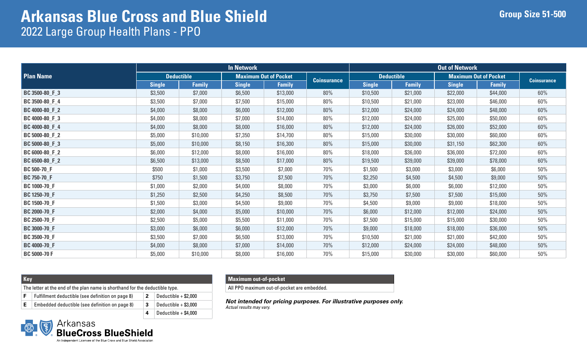|                     |                   |               | <b>In Network</b> |                              |                    |                   |               | <b>Out of Network</b>        |               |                    |
|---------------------|-------------------|---------------|-------------------|------------------------------|--------------------|-------------------|---------------|------------------------------|---------------|--------------------|
| <b>Plan Name</b>    | <b>Deductible</b> |               |                   | <b>Maximum Out of Pocket</b> |                    | <b>Deductible</b> |               | <b>Maximum Out of Pocket</b> |               | <b>Coinsurance</b> |
|                     | <b>Single</b>     | <b>Family</b> | <b>Single</b>     | <b>Family</b>                | <b>Coinsurance</b> | <b>Single</b>     | <b>Family</b> | <b>Single</b>                | <b>Family</b> |                    |
| BC 3500-80_F_3      | \$3,500           | \$7,000       | \$6,500           | \$13,000                     | 80%                | \$10,500          | \$21,000      | \$22,000                     | \$44,000      | 60%                |
| BC 3500-80_F_4      | \$3,500           | \$7,000       | \$7,500           | \$15,000                     | 80%                | \$10,500          | \$21,000      | \$23,000                     | \$46,000      | 60%                |
| BC 4000-80_F_2      | \$4,000           | \$8,000       | \$6,000           | \$12,000                     | 80%                | \$12,000          | \$24,000      | \$24,000                     | \$48,000      | 60%                |
| BC 4000-80_F_3      | \$4,000           | \$8,000       | \$7,000           | \$14,000                     | 80%                | \$12,000          | \$24,000      | \$25,000                     | \$50,000      | 60%                |
| BC 4000-80_F_4      | \$4,000           | \$8,000       | \$8,000           | \$16,000                     | 80%                | \$12,000          | \$24,000      | \$26,000                     | \$52,000      | 60%                |
| BC 5000-80 F 2      | \$5,000           | \$10,000      | \$7,350           | \$14,700                     | 80%                | \$15,000          | \$30,000      | \$30,000                     | \$60,000      | 60%                |
| BC 5000-80_F_3      | \$5,000           | \$10,000      | \$8,150           | \$16,300                     | 80%                | \$15,000          | \$30,000      | \$31,150                     | \$62,300      | 60%                |
| BC 6000-80_F_2      | \$6,000           | \$12,000      | \$8,000           | \$16,000                     | 80%                | \$18,000          | \$36,000      | \$36,000                     | \$72,000      | 60%                |
| BC 6500-80 F 2      | \$6,500           | \$13,000      | \$8,500           | \$17,000                     | 80%                | \$19,500          | \$39,000      | \$39,000                     | \$78,000      | 60%                |
| <b>BC 500-70_F</b>  | \$500             | \$1,000       | \$3,500           | \$7,000                      | 70%                | \$1,500           | \$3,000       | \$3,000                      | \$6,000       | 50%                |
| <b>BC 750-70_F</b>  | \$750             | \$1,500       | \$3,750           | \$7,500                      | 70%                | \$2,250           | \$4,500       | \$4,500                      | \$9,000       | 50%                |
| <b>BC 1000-70_F</b> | \$1,000           | \$2,000       | \$4,000           | \$8,000                      | 70%                | \$3,000           | \$6,000       | \$6,000                      | \$12,000      | 50%                |
| BC 1250-70_F        | \$1,250           | \$2,500       | \$4,250           | \$8,500                      | 70%                | \$3,750           | \$7,500       | \$7,500                      | \$15,000      | 50%                |
| BC 1500-70_F        | \$1,500           | \$3,000       | \$4,500           | \$9,000                      | 70%                | \$4,500           | \$9,000       | \$9,000                      | \$18,000      | 50%                |
| <b>BC 2000-70_F</b> | \$2,000           | \$4,000       | \$5,000           | \$10,000                     | 70%                | \$6,000           | \$12,000      | \$12,000                     | \$24,000      | 50%                |
| <b>BC 2500-70_F</b> | \$2,500           | \$5,000       | \$5,500           | \$11,000                     | 70%                | \$7,500           | \$15,000      | \$15,000                     | \$30,000      | 50%                |
| <b>BC 3000-70_F</b> | \$3,000           | \$6,000       | \$6,000           | \$12,000                     | 70%                | \$9,000           | \$18,000      | \$18,000                     | \$36,000      | 50%                |
| <b>BC 3500-70_F</b> | \$3,500           | \$7,000       | \$6,500           | \$13,000                     | 70%                | \$10,500          | \$21,000      | \$21,000                     | \$42,000      | 50%                |
| <b>BC 4000-70_F</b> | \$4,000           | \$8,000       | \$7,000           | \$14,000                     | 70%                | \$12,000          | \$24,000      | \$24,000                     | \$48,000      | 50%                |
| <b>BC 5000-70 F</b> | \$5,000           | \$10,000      | \$8,000           | \$16,000                     | 70%                | \$15,000          | \$30,000      | \$30,000                     | \$60,000      | 50%                |

| <b>Kev</b> |                                                                                                     |                        |
|------------|-----------------------------------------------------------------------------------------------------|------------------------|
|            | The letter at the end of the plan name is shorthand for the deductible type.                        |                        |
|            | Fulfillment deductible (see definition on page 8)                                                   | Deductible $+$ \$2,000 |
|            | $\Gamma$ and a state of the state of the following $\Gamma$ . The function of the state of $\Gamma$ |                        |

| $E$   Embedded deductible (see definition on page 8) | $\vert$ 3 Deductible + \$3,000 |
|------------------------------------------------------|--------------------------------|
|                                                      | 4 Deductible + $$4,000$        |

### **Maximum out-of-pocket**

All PPO maximum out-of-pocket are embedded.

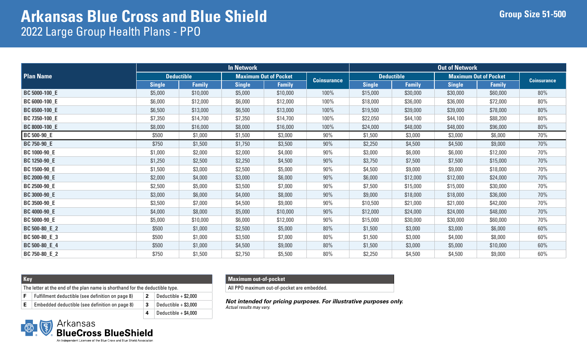|                      |                   |               | <b>In Network</b> |                              |                    | <b>Out of Network</b> |                   |               |                              |                    |  |  |
|----------------------|-------------------|---------------|-------------------|------------------------------|--------------------|-----------------------|-------------------|---------------|------------------------------|--------------------|--|--|
| <b>Plan Name</b>     | <b>Deductible</b> |               |                   | <b>Maximum Out of Pocket</b> |                    |                       | <b>Deductible</b> |               | <b>Maximum Out of Pocket</b> | <b>Coinsurance</b> |  |  |
|                      | <b>Single</b>     | <b>Family</b> | <b>Single</b>     | <b>Family</b>                | <b>Coinsurance</b> | <b>Single</b>         | <b>Family</b>     | <b>Single</b> | <b>Family</b>                |                    |  |  |
| <b>BC 5000-100_E</b> | \$5,000           | \$10,000      | \$5,000           | \$10,000                     | 100%               | \$15,000              | \$30,000          | \$30,000      | \$60,000                     | 80%                |  |  |
| BC 6000-100_E        | \$6,000           | \$12,000      | \$6,000           | \$12,000                     | 100%               | \$18,000              | \$36,000          | \$36,000      | \$72,000                     | 80%                |  |  |
| BC 6500-100_E        | \$6,500           | \$13,000      | \$6,500           | \$13,000                     | 100%               | \$19,500              | \$39,000          | \$39,000      | \$78,000                     | 80%                |  |  |
| BC 7350-100_E        | \$7,350           | \$14,700      | \$7,350           | \$14,700                     | 100%               | \$22,050              | \$44,100          | \$44,100      | \$88,200                     | 80%                |  |  |
| BC 8000-100_E        | \$8,000           | \$16,000      | \$8,000           | \$16,000                     | 100%               | \$24,000              | \$48,000          | \$48,000      | \$96,000                     | 80%                |  |  |
| <b>BC 500-90_E</b>   | \$500             | \$1,000       | \$1,500           | \$3,000                      | 90%                | \$1,500               | \$3,000           | \$3,000       | \$6,000                      | 70%                |  |  |
| <b>BC 750-90_E</b>   | \$750             | \$1,500       | \$1,750           | \$3,500                      | 90%                | \$2,250               | \$4,500           | \$4,500       | \$9,000                      | 70%                |  |  |
| <b>BC 1000-90_E</b>  | \$1,000           | \$2,000       | \$2,000           | \$4,000                      | 90%                | \$3,000               | \$6,000           | \$6,000       | \$12,000                     | 70%                |  |  |
| <b>BC 1250-90_E</b>  | \$1,250           | \$2,500       | \$2,250           | \$4,500                      | 90%                | \$3,750               | \$7,500           | \$7,500       | \$15,000                     | 70%                |  |  |
| BC 1500-90_E         | \$1,500           | \$3,000       | \$2,500           | \$5,000                      | 90%                | \$4,500               | \$9,000           | \$9,000       | \$18,000                     | 70%                |  |  |
| <b>BC 2000-90_E</b>  | \$2,000           | \$4,000       | \$3,000           | \$6,000                      | 90%                | \$6,000               | \$12,000          | \$12,000      | \$24,000                     | 70%                |  |  |
| <b>BC 2500-90_E</b>  | \$2,500           | \$5,000       | \$3,500           | \$7,000                      | 90%                | \$7,500               | \$15,000          | \$15,000      | \$30,000                     | 70%                |  |  |
| <b>BC 3000-90_E</b>  | \$3,000           | \$6,000       | \$4,000           | \$8,000                      | 90%                | \$9,000               | \$18,000          | \$18,000      | \$36,000                     | 70%                |  |  |
| <b>BC 3500-90_E</b>  | \$3,500           | \$7,000       | \$4,500           | \$9,000                      | 90%                | \$10,500              | \$21,000          | \$21,000      | \$42,000                     | 70%                |  |  |
| <b>BC 4000-90_E</b>  | \$4,000           | \$8,000       | \$5,000           | \$10,000                     | 90%                | \$12,000              | \$24,000          | \$24,000      | \$48,000                     | 70%                |  |  |
| <b>BC 5000-90_E</b>  | \$5,000           | \$10,000      | \$6,000           | \$12,000                     | 90%                | \$15,000              | \$30,000          | \$30,000      | \$60,000                     | 70%                |  |  |
| BC 500-80_E_2        | \$500             | \$1,000       | \$2,500           | \$5,000                      | 80%                | \$1,500               | \$3,000           | \$3,000       | \$6,000                      | 60%                |  |  |
| BC 500-80_E_3        | \$500             | \$1,000       | \$3,500           | \$7,000                      | 80%                | \$1,500               | \$3,000           | \$4,000       | \$8,000                      | 60%                |  |  |
| BC 500-80_E_4        | \$500             | \$1,000       | \$4,500           | \$9,000                      | 80%                | \$1,500               | \$3,000           | \$5,000       | \$10,000                     | 60%                |  |  |
| BC 750-80_E_2        | \$750             | \$1,500       | \$2,750           | \$5,500                      | 80%                | \$2,250               | \$4,500           | \$4,500       | \$9,000                      | 60%                |  |  |

| <b>Key</b> |                                                                              |                |                        |  |  |  |  |  |  |
|------------|------------------------------------------------------------------------------|----------------|------------------------|--|--|--|--|--|--|
|            | The letter at the end of the plan name is shorthand for the deductible type. |                |                        |  |  |  |  |  |  |
| F          | Fulfillment deductible (see definition on page 8)                            | $\overline{2}$ | Deductible $+$ \$2,000 |  |  |  |  |  |  |
| Е          | Embedded deductible (see definition on page 8)                               | 3              | Deductible $+$ \$3,000 |  |  |  |  |  |  |

**4** Deductible + \$4,000

#### **Maximum out-of-pocket**

All PPO maximum out-of-pocket are embedded.

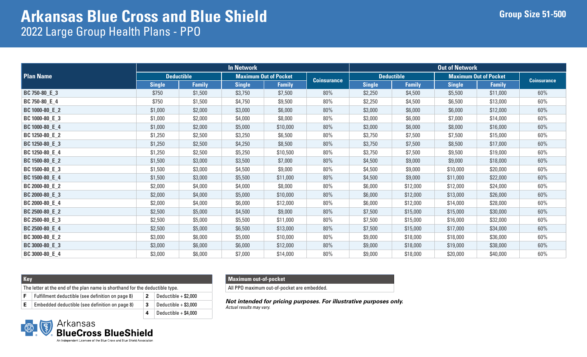|                  |               |                   | <b>In Network</b> |                              |                    | <b>Out of Network</b> |                   |                              |               |                    |  |
|------------------|---------------|-------------------|-------------------|------------------------------|--------------------|-----------------------|-------------------|------------------------------|---------------|--------------------|--|
| <b>Plan Name</b> |               | <b>Deductible</b> |                   | <b>Maximum Out of Pocket</b> | <b>Coinsurance</b> |                       | <b>Deductible</b> | <b>Maximum Out of Pocket</b> |               | <b>Coinsurance</b> |  |
|                  | <b>Single</b> | <b>Family</b>     | <b>Single</b>     | <b>Family</b>                |                    | <b>Single</b>         | <b>Family</b>     | <b>Single</b>                | <b>Family</b> |                    |  |
| BC 750-80_E_3    | \$750         | \$1,500           | \$3,750           | \$7,500                      | 80%                | \$2,250               | \$4,500           | \$5,500                      | \$11,000      | 60%                |  |
| BC 750-80_E_4    | \$750         | \$1,500           | \$4,750           | \$9,500                      | 80%                | \$2,250               | \$4,500           | \$6,500                      | \$13,000      | 60%                |  |
| BC 1000-80_E_2   | \$1,000       | \$2,000           | \$3,000           | \$6,000                      | 80%                | \$3,000               | \$6,000           | \$6,000                      | \$12,000      | 60%                |  |
| BC 1000-80_E_3   | \$1,000       | \$2,000           | \$4,000           | \$8,000                      | 80%                | \$3,000               | \$6,000           | \$7,000                      | \$14,000      | 60%                |  |
| BC 1000-80_E_4   | \$1,000       | \$2,000           | \$5,000           | \$10,000                     | 80%                | \$3,000               | \$6,000           | \$8,000                      | \$16,000      | 60%                |  |
| BC 1250-80_E_2   | \$1,250       | \$2,500           | \$3,250           | \$6,500                      | 80%                | \$3,750               | \$7,500           | \$7,500                      | \$15,000      | 60%                |  |
| BC 1250-80_E_3   | \$1,250       | \$2,500           | \$4,250           | \$8,500                      | 80%                | \$3,750               | \$7,500           | \$8,500                      | \$17,000      | 60%                |  |
| BC 1250-80_E_4   | \$1,250       | \$2,500           | \$5,250           | \$10,500                     | 80%                | \$3,750               | \$7,500           | \$9,500                      | \$19,000      | 60%                |  |
| BC 1500-80_E_2   | \$1,500       | \$3,000           | \$3,500           | \$7,000                      | 80%                | \$4,500               | \$9,000           | \$9,000                      | \$18,000      | 60%                |  |
| BC 1500-80_E_3   | \$1,500       | \$3,000           | \$4,500           | \$9,000                      | 80%                | \$4,500               | \$9,000           | \$10,000                     | \$20,000      | 60%                |  |
| BC 1500-80_E_4   | \$1,500       | \$3,000           | \$5,500           | \$11,000                     | 80%                | \$4,500               | \$9,000           | \$11,000                     | \$22,000      | 60%                |  |
| BC 2000-80_E_2   | \$2,000       | \$4,000           | \$4,000           | \$8,000                      | 80%                | \$6,000               | \$12,000          | \$12,000                     | \$24,000      | 60%                |  |
| BC 2000-80_E_3   | \$2,000       | \$4,000           | \$5,000           | \$10,000                     | 80%                | \$6,000               | \$12,000          | \$13,000                     | \$26,000      | 60%                |  |
| BC 2000-80_E_4   | \$2,000       | \$4,000           | \$6,000           | \$12,000                     | 80%                | \$6,000               | \$12,000          | \$14,000                     | \$28,000      | 60%                |  |
| BC 2500-80_E_2   | \$2,500       | \$5,000           | \$4,500           | \$9,000                      | 80%                | \$7,500               | \$15,000          | \$15,000                     | \$30,000      | 60%                |  |
| BC 2500-80_E_3   | \$2,500       | \$5,000           | \$5,500           | \$11,000                     | 80%                | \$7,500               | \$15,000          | \$16,000                     | \$32,000      | 60%                |  |
| BC 2500-80_E_4   | \$2,500       | \$5,000           | \$6,500           | \$13,000                     | 80%                | \$7,500               | \$15,000          | \$17,000                     | \$34,000      | 60%                |  |
| BC 3000-80_E_2   | \$3,000       | \$6,000           | \$5,000           | \$10,000                     | 80%                | \$9,000               | \$18,000          | \$18,000                     | \$36,000      | 60%                |  |
| BC 3000-80_E_3   | \$3,000       | \$6,000           | \$6,000           | \$12,000                     | 80%                | \$9,000               | \$18,000          | \$19,000                     | \$38,000      | 60%                |  |
| BC 3000-80_E_4   | \$3,000       | \$6,000           | \$7,000           | \$14,000                     | 80%                | \$9,000               | \$18,000          | \$20,000                     | \$40,000      | 60%                |  |

| <b>Key</b> |                                                                              |    |                        |  |  |  |  |  |  |
|------------|------------------------------------------------------------------------------|----|------------------------|--|--|--|--|--|--|
|            | The letter at the end of the plan name is shorthand for the deductible type. |    |                        |  |  |  |  |  |  |
|            | Fulfillment deductible (see definition on page 8)                            | -2 | Deductible $+$ \$2,000 |  |  |  |  |  |  |
| Е          | Embedded deductible (see definition on page 8)                               | -3 | Deductible $+$ \$3,000 |  |  |  |  |  |  |

**4** Deductible + \$4,000

#### **Maximum out-of-pocket**

All PPO maximum out-of-pocket are embedded.

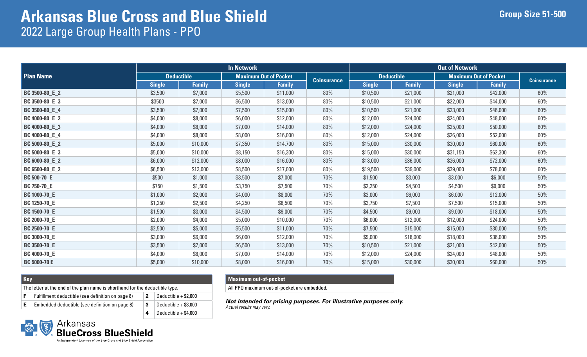|                     | <b>In Network</b> |               |               |                              |                    |                   | <b>Out of Network</b> |                              |               |                    |  |  |
|---------------------|-------------------|---------------|---------------|------------------------------|--------------------|-------------------|-----------------------|------------------------------|---------------|--------------------|--|--|
| <b>Plan Name</b>    | <b>Deductible</b> |               |               | <b>Maximum Out of Pocket</b> |                    | <b>Deductible</b> |                       | <b>Maximum Out of Pocket</b> |               |                    |  |  |
|                     | <b>Single</b>     | <b>Family</b> | <b>Single</b> | <b>Family</b>                | <b>Coinsurance</b> | <b>Single</b>     | <b>Family</b>         | <b>Single</b>                | <b>Family</b> | <b>Coinsurance</b> |  |  |
| BC 3500-80_E_2      | \$3,500           | \$7,000       | \$5,500       | \$11,000                     | 80%                | \$10,500          | \$21,000              | \$21,000                     | \$42,000      | 60%                |  |  |
| BC 3500-80_E_3      | \$3500            | \$7,000       | \$6,500       | \$13,000                     | 80%                | \$10,500          | \$21,000              | \$22,000                     | \$44,000      | 60%                |  |  |
| BC 3500-80_E_4      | \$3,500           | \$7,000       | \$7,500       | \$15,000                     | 80%                | \$10,500          | \$21,000              | \$23,000                     | \$46,000      | 60%                |  |  |
| BC 4000-80_E_2      | \$4,000           | \$8,000       | \$6,000       | \$12,000                     | 80%                | \$12,000          | \$24,000              | \$24,000                     | \$48,000      | 60%                |  |  |
| BC 4000-80_E_3      | \$4,000           | \$8,000       | \$7,000       | \$14,000                     | 80%                | \$12,000          | \$24,000              | \$25,000                     | \$50,000      | 60%                |  |  |
| BC 4000-80_E_4      | \$4,000           | \$8,000       | \$8,000       | \$16,000                     | 80%                | \$12,000          | \$24,000              | \$26,000                     | \$52,000      | 60%                |  |  |
| BC 5000-80_E_2      | \$5,000           | \$10,000      | \$7,350       | \$14,700                     | 80%                | \$15,000          | \$30,000              | \$30,000                     | \$60,000      | $60\%$             |  |  |
| BC 5000-80_E_3      | \$5,000           | \$10,000      | \$8,150       | \$16,300                     | 80%                | \$15,000          | \$30,000              | \$31,150                     | \$62,300      | 60%                |  |  |
| BC 6000-80_E_2      | \$6,000           | \$12,000      | \$8,000       | \$16,000                     | 80%                | \$18,000          | \$36,000              | \$36,000                     | \$72,000      | 60%                |  |  |
| BC 6500-80_E_2      | \$6,500           | \$13,000      | \$8,500       | \$17,000                     | 80%                | \$19,500          | \$39,000              | \$39,000                     | \$78,000      | 60%                |  |  |
| <b>BC 500-70_E</b>  | \$500             | \$1,000       | \$3,500       | \$7,000                      | 70%                | \$1,500           | \$3,000               | \$3,000                      | \$6,000       | 50%                |  |  |
| <b>BC 750-70_E</b>  | \$750             | \$1,500       | \$3,750       | \$7,500                      | 70%                | \$2,250           | \$4,500               | \$4,500                      | \$9,000       | $50\%$             |  |  |
| <b>BC 1000-70_E</b> | \$1,000           | \$2,000       | \$4,000       | \$8,000                      | 70%                | \$3,000           | \$6,000               | \$6,000                      | \$12,000      | 50%                |  |  |
| <b>BC 1250-70_E</b> | \$1,250           | \$2,500       | \$4,250       | \$8,500                      | 70%                | \$3,750           | \$7,500               | \$7,500                      | \$15,000      | 50%                |  |  |
| <b>BC 1500-70_E</b> | \$1,500           | \$3,000       | \$4,500       | \$9,000                      | 70%                | \$4,500           | \$9,000               | \$9,000                      | \$18,000      | 50%                |  |  |
| <b>BC 2000-70_E</b> | \$2,000           | \$4,000       | \$5,000       | \$10,000                     | 70%                | \$6,000           | \$12,000              | \$12,000                     | \$24,000      | 50%                |  |  |
| <b>BC 2500-70_E</b> | \$2,500           | \$5,000       | \$5,500       | \$11,000                     | 70%                | \$7,500           | \$15,000              | \$15,000                     | \$30,000      | 50%                |  |  |
| <b>BC 3000-70_E</b> | \$3,000           | \$6,000       | \$6,000       | \$12,000                     | 70%                | \$9,000           | \$18,000              | \$18,000                     | \$36,000      | 50%                |  |  |
| <b>BC 3500-70_E</b> | \$3,500           | \$7,000       | \$6,500       | \$13,000                     | 70%                | \$10,500          | \$21,000              | \$21,000                     | \$42,000      | 50%                |  |  |
| <b>BC 4000-70_E</b> | \$4,000           | \$8,000       | \$7,000       | \$14,000                     | 70%                | \$12,000          | \$24,000              | \$24,000                     | \$48,000      | 50%                |  |  |
| <b>BC 5000-70 E</b> | \$5,000           | \$10,000      | \$8,000       | \$16,000                     | 70%                | \$15,000          | \$30,000              | \$30,000                     | \$60,000      | $50\%$             |  |  |

| Key |                                                                              |    |                        |
|-----|------------------------------------------------------------------------------|----|------------------------|
|     | The letter at the end of the plan name is shorthand for the deductible type. |    |                        |
|     | Fulfillment deductible (see definition on page 8)                            | -2 | Deductible $+$ \$2.000 |
|     | Embedded deductible (see definition on page 8)                               |    | Deductible $+$ \$3,000 |

**4** Deductible + \$4,000

#### **Maximum out-of-pocket**

All PPO maximum out-of-pocket are embedded.

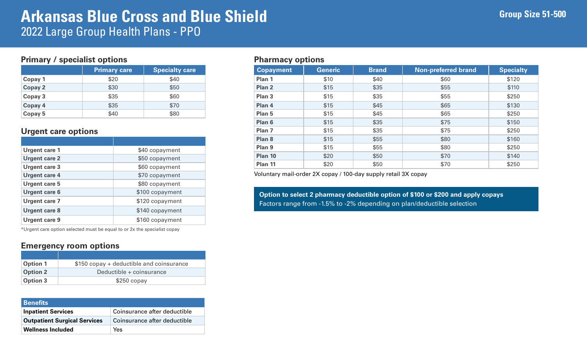### **Primary / specialist options**

|         | <b>Primary care</b> | <b>Specialty care</b> |
|---------|---------------------|-----------------------|
| Copay 1 | \$20                | \$40                  |
| Copay 2 | \$30                | \$50                  |
| Copay 3 | \$35                | \$60                  |
| Copay 4 | \$35                | \$70                  |
| Copay 5 | \$40                | \$80                  |

### **Urgent care options**

| <b>Urgent care 1</b> | \$40 copayment  |
|----------------------|-----------------|
| <b>Urgent care 2</b> | \$50 copayment  |
| <b>Urgent care 3</b> | \$60 copayment  |
| <b>Urgent care 4</b> | \$70 copayment  |
| <b>Urgent care 5</b> | \$80 copayment  |
| <b>Urgent care 6</b> | \$100 copayment |
| <b>Urgent care 7</b> | \$120 copayment |
| <b>Urgent care 8</b> | \$140 copayment |
| <b>Urgent care 9</b> | \$160 copayment |

\*Urgent care option selected must be equal to or 2x the specialist copay

### **Emergency room options**

| <b>Option 1</b> | \$150 copay + deductible and coinsurance |
|-----------------|------------------------------------------|
| <b>Option 2</b> | Deductible + coinsurance                 |
| <b>Option 3</b> | $$250$ copay                             |

| <b>Benefits</b>                     |                              |
|-------------------------------------|------------------------------|
| <b>Inpatient Services</b>           | Coinsurance after deductible |
| <b>Outpatient Surgical Services</b> | Coinsurance after deductible |
| <b>Wellness Included</b>            | <b>Yes</b>                   |

### **Pharmacy options**

| <b>Copayment</b>  | <b>Generic</b> | <b>Brand</b> | <b>Non-preferred brand</b> | <b>Specialty</b> |
|-------------------|----------------|--------------|----------------------------|------------------|
| Plan 1            | \$10           | \$40         | \$60                       | \$120            |
| Plan <sub>2</sub> | \$15           | \$35         | \$55                       | \$110            |
| Plan <sub>3</sub> | \$15           | \$35         | \$55                       | \$250            |
| Plan 4            | \$15           | \$45         | \$65                       | \$130            |
| Plan 5            | \$15           | \$45         | \$65                       | \$250            |
| Plan 6            | \$15           | \$35         | \$75                       | \$150            |
| Plan <sub>7</sub> | \$15           | \$35         | \$75                       | \$250            |
| Plan 8            | \$15           | \$55         | \$80                       | \$160            |
| Plan 9            | \$15           | \$55         | \$80                       | \$250            |
| Plan 10           | \$20           | \$50         | \$70                       | \$140            |
| Plan 11           | \$20           | \$50         | \$70                       | \$250            |

Voluntary mail-order 2X copay / 100-day supply retail 3X copay

**Option to select 2 pharmacy deductible option of \$100 or \$200 and apply copays**  Factors range from -1.5% to -2% depending on plan/deductible selection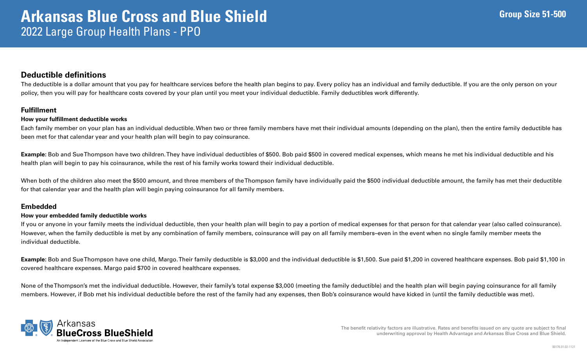### **Deductible definitions**

The deductible is a dollar amount that you pay for healthcare services before the health plan begins to pay. Every policy has an individual and family deductible. If you are the only person on your policy, then you will pay for healthcare costs covered by your plan until you meet your individual deductible. Family deductibles work differently.

#### **Fulfillment**

#### **How your fulfillment deductible works**

Each family member on your plan has an individual deductible. When two or three family members have met their individual amounts (depending on the plan), then the entire family deductible has been met for that calendar year and your health plan will begin to pay coinsurance.

**Example:** Bob and Sue Thompson have two children. They have individual deductibles of \$500. Bob paid \$500 in covered medical expenses, which means he met his individual deductible and his health plan will begin to pay his coinsurance, while the rest of his family works toward their individual deductible.

When both of the children also meet the \$500 amount, and three members of the Thompson family have individually paid the \$500 individual deductible amount, the family has met their deductible for that calendar year and the health plan will begin paying coinsurance for all family members.

#### **Embedded**

#### **How your embedded family deductible works**

If you or anyone in your family meets the individual deductible, then your health plan will begin to pay a portion of medical expenses for that person for that calendar year (also called coinsurance). However, when the family deductible is met by any combination of family members, coinsurance will pay on all family members–even in the event when no single family member meets the individual deductible.

**Example:** Bob and Sue Thompson have one child, Margo. Their family deductible is \$3,000 and the individual deductible is \$1,500. Sue paid \$1,200 in covered healthcare expenses. Bob paid \$1,100 in covered healthcare expenses. Margo paid \$700 in covered healthcare expenses.

None of the Thompson's met the individual deductible. However, their family's total expense \$3,000 (meeting the family deductible) and the health plan will begin paying coinsurance for all family members. However, if Bob met his individual deductible before the rest of the family had any expenses, then Bob's coinsurance would have kicked in (until the family deductible was met).

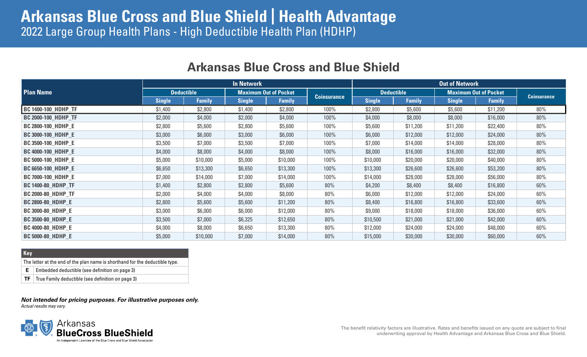# **Arkansas Blue Cross and Blue Shield | Health Advantage** 2022 Large Group Health Plans - High Deductible Health Plan (HDHP)

|                            | <b>In Network</b> |               |                              |               |                    |                   | <b>Out of Network</b> |                              |               |                    |  |
|----------------------------|-------------------|---------------|------------------------------|---------------|--------------------|-------------------|-----------------------|------------------------------|---------------|--------------------|--|
| <b>Plan Name</b>           | <b>Deductible</b> |               | <b>Maximum Out of Pocket</b> |               |                    | <b>Deductible</b> |                       | <b>Maximum Out of Pocket</b> |               |                    |  |
|                            | <b>Single</b>     | <b>Family</b> | <b>Single</b>                | <b>Family</b> | <b>Coinsurance</b> | <b>Single</b>     | <b>Family</b>         | <b>Single</b>                | <b>Family</b> | <b>Coinsurance</b> |  |
| <b>BC 1400-100_HDHP_TF</b> | \$1,400           | \$2,800       | \$1,400                      | \$2,800       | 100%               | \$2,800           | \$5,600               | \$5,600                      | \$11,200      | 80%                |  |
| <b>BC 2000-100_HDHP_TF</b> | \$2,000           | \$4,000       | \$2,000                      | \$4,000       | 100%               | \$4,000           | \$8,000               | \$8,000                      | \$16,000      | 80%                |  |
| <b>BC 2800-100 HDHP E</b>  | \$2,800           | \$5,600       | \$2,800                      | \$5,600       | 100%               | \$5,600           | \$11,200              | \$11,200                     | \$22,400      | 80%                |  |
| <b>BC 3000-100 HDHP E</b>  | \$3,000           | \$6,000       | \$3,000                      | \$6,000       | 100%               | \$6,000           | \$12,000              | \$12,000                     | \$24,000      | 80%                |  |
| <b>BC 3500-100_HDHP_E</b>  | \$3,500           | \$7,000       | \$3,500                      | \$7,000       | 100%               | \$7,000           | \$14,000              | \$14,000                     | \$28,000      | 80%                |  |
| <b>BC 4000-100_HDHP_E</b>  | \$4,000           | \$8,000       | \$4,000                      | \$8,000       | 100%               | \$8,000           | \$16,000              | \$16,000                     | \$32,000      | 80%                |  |
| <b>BC 5000-100 HDHP E</b>  | \$5,000           | \$10,000      | \$5,000                      | \$10,000      | 100%               | \$10,000          | \$20,000              | \$20,000                     | \$40,000      | 80%                |  |
| <b>BC 6650-100_HDHP_E</b>  | \$6,650           | \$13,300      | \$6,650                      | \$13,300      | 100%               | \$13,300          | \$26,600              | \$26,600                     | \$53,200      | 80%                |  |
| <b>BC 7000-100_HDHP_E</b>  | \$7,000           | \$14,000      | \$7,000                      | \$14,000      | 100%               | \$14,000          | \$28,000              | \$28,000                     | \$56,000      | 80%                |  |
| <b>BC 1400-80_HDHP_TF</b>  | \$1,400           | \$2,800       | \$2,800                      | \$5,600       | 80%                | \$4,200           | \$8,400               | \$8,400                      | \$16,800      | 60%                |  |
| <b>BC 2000-80 HDHP TF</b>  | \$2,000           | \$4,000       | \$4,000                      | \$8,000       | 80%                | \$6,000           | \$12,000              | \$12,000                     | \$24,000      | 60%                |  |
| <b>BC 2800-80_HDHP_E</b>   | \$2,800           | \$5,600       | \$5,600                      | \$11,200      | 80%                | \$8,400           | \$16,800              | \$16,800                     | \$33,600      | 60%                |  |
| <b>BC 3000-80_HDHP_E</b>   | \$3,000           | \$6,000       | \$6,000                      | \$12,000      | 80%                | \$9,000           | \$18,000              | \$18,000                     | \$36,000      | 60%                |  |
| <b>BC 3500-80_HDHP_E</b>   | \$3,500           | \$7,000       | \$6,325                      | \$12,650      | 80%                | \$10,500          | \$21,000              | \$21,000                     | \$42,000      | 60%                |  |
| <b>BC 4000-80_HDHP_E</b>   | \$4,000           | \$8,000       | \$6,650                      | \$13,300      | 80%                | \$12,000          | \$24,000              | \$24,000                     | \$48,000      | 60%                |  |
| <b>BC 5000-80 HDHP E</b>   | \$5,000           | \$10,000      | \$7,000                      | \$14,000      | 80%                | \$15,000          | \$30,000              | \$30,000                     | \$60,000      | 60%                |  |

### **Arkansas Blue Cross and Blue Shield**

#### **Key**

The letter at the end of the plan name is shorthand for the deductible type.

**E** Embedded deductible (see definition on page 3)

**TF**  $\vert$  True Family deductible (see definition on page 3)

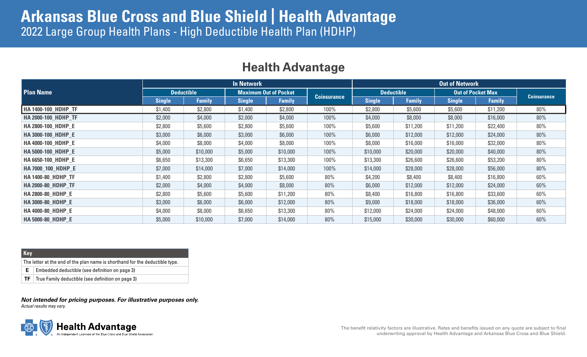# **Arkansas Blue Cross and Blue Shield | Health Advantage** 2022 Large Group Health Plans - High Deductible Health Plan (HDHP)

| <b>Health Advantage</b> |
|-------------------------|
|-------------------------|

|                            | <b>In Network</b> |               |               |                              |                    |                   | <b>Out of Network</b> |                          |               |                    |  |
|----------------------------|-------------------|---------------|---------------|------------------------------|--------------------|-------------------|-----------------------|--------------------------|---------------|--------------------|--|
| <b>Plan Name</b>           | <b>Deductible</b> |               |               | <b>Maximum Out of Pocket</b> |                    | <b>Deductible</b> |                       | <b>Out of Pocket Max</b> |               |                    |  |
|                            | <b>Single</b>     | <b>Family</b> | <b>Single</b> | <b>Family</b>                | <b>Coinsurance</b> | <b>Single</b>     | <b>Family</b>         | <b>Single</b>            | <b>Family</b> | <b>Coinsurance</b> |  |
| <b>HA 1400-100 HDHP TF</b> | \$1,400           | \$2,800       | \$1,400       | \$2,800                      | 100%               | \$2,800           | \$5,600               | \$5,600                  | \$11,200      | 80%                |  |
| <b>HA 2000-100 HDHP TF</b> | \$2,000           | \$4,000       | \$2,000       | \$4,000                      | 100%               | \$4,000           | \$8,000               | \$8,000                  | \$16,000      | 80%                |  |
| <b>HA 2800-100 HDHP E</b>  | \$2,800           | \$5,600       | \$2,800       | \$5,600                      | 100%               | \$5,600           | \$11,200              | \$11,200                 | \$22,400      | $80\%$             |  |
| <b>HA 3000-100 HDHP E</b>  | \$3,000           | \$6,000       | \$3,000       | \$6,000                      | 100%               | \$6,000           | \$12,000              | \$12,000                 | \$24,000      | 80%                |  |
| <b>HA 4000-100 HDHP E</b>  | \$4,000           | \$8,000       | \$4,000       | \$8,000                      | 100%               | \$8,000           | \$16,000              | \$16,000                 | \$32,000      | 80%                |  |
| <b>HA 5000-100 HDHP E</b>  | \$5,000           | \$10,000      | \$5,000       | \$10,000                     | 100%               | \$10,000          | \$20,000              | \$20,000                 | \$40,000      | 80%                |  |
| <b>HA 6650-100 HDHP E</b>  | \$6,650           | \$13,300      | \$6,650       | \$13,300                     | 100%               | \$13,300          | \$26,600              | \$26,600                 | \$53,200      | 80%                |  |
| HA 7000_100_HDHP_E         | \$7,000           | \$14,000      | \$7,000       | \$14,000                     | 100%               | \$14,000          | \$28,000              | \$28,000                 | \$56,000      | 80%                |  |
| <b>HA 1400-80 HDHP TF</b>  | \$1,400           | \$2,800       | \$2,800       | \$5,600                      | $80\%$             | \$4,200           | \$8,400               | \$8,400                  | \$16,800      | 60%                |  |
| <b>HA 2000-80 HDHP TF</b>  | \$2,000           | \$4,000       | \$4,000       | \$8,000                      | 80%                | \$6,000           | \$12,000              | \$12,000                 | \$24,000      | 60%                |  |
| <b>HA 2800-80 HDHP E</b>   | \$2,800           | \$5,600       | \$5,600       | \$11,200                     | 80%                | \$8,400           | \$16,800              | \$16,800                 | \$33,600      | 60%                |  |
| <b>HA 3000-80 HDHP E</b>   | \$3,000           | \$6,000       | \$6,000       | \$12,000                     | 80%                | \$9,000           | \$18,000              | \$18,000                 | \$36,000      | 60%                |  |
| HA 4000-80_HDHP_E          | \$4,000           | \$8,000       | \$6,650       | \$13,300                     | 80%                | \$12,000          | \$24,000              | \$24,000                 | \$48,000      | 60%                |  |
| <b>HA 5000-80 HDHP E</b>   | \$5,000           | \$10,000      | \$7,000       | \$14,000                     | 80%                | \$15,000          | \$30,000              | \$30,000                 | \$60,000      | 60%                |  |

#### **Key**

The letter at the end of the plan name is shorthand for the deductible type.

**E** Embedded deductible (see definition on page 3)

**TF**  $\vert$  True Family deductible (see definition on page 3)